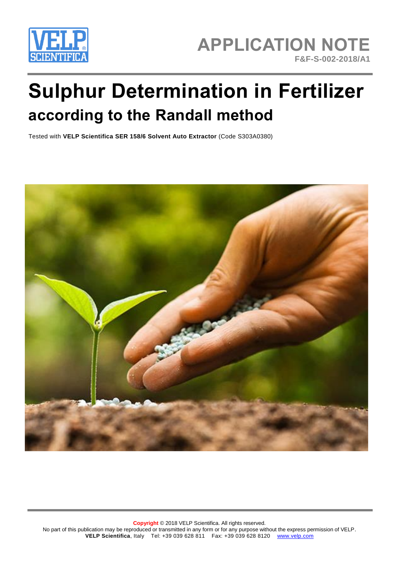

# **Sulphur Determination in Fertilizer according to the Randall method**

Tested with **VELP Scientifica SER 158/6 Solvent Auto Extractor** (Code S303A0380)

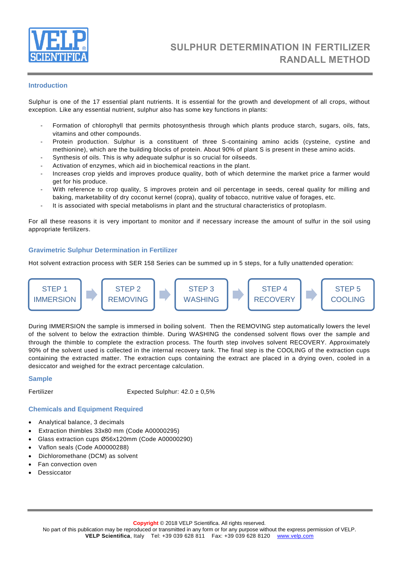

# **Introduction**

Sulphur is one of the 17 essential plant nutrients. It is essential for the growth and development of all crops, without exception. Like any essential nutrient, sulphur also has some key functions in plants:

- Formation of chlorophyll that permits photosynthesis through which plants produce starch, sugars, oils, fats, vitamins and other compounds.
- Protein production. Sulphur is a constituent of three S-containing amino acids (cysteine, cystine and methionine), which are the building blocks of protein. About 90% of plant S is present in these amino acids.
- Synthesis of oils. This is why adequate sulphur is so crucial for oilseeds.
- Activation of enzymes, which aid in biochemical reactions in the plant.
- Increases crop yields and improves produce quality, both of which determine the market price a farmer would get for his produce.
- With reference to crop quality, S improves protein and oil percentage in seeds, cereal quality for milling and baking, marketability of dry coconut kernel (copra), quality of tobacco, nutritive value of forages, etc.
- It is associated with special metabolisms in plant and the structural characteristics of protoplasm.

For all these reasons it is very important to monitor and if necessary increase the amount of sulfur in the soil using appropriate fertilizers.

#### **Gravimetric Sulphur Determination in Fertilizer**

Hot solvent extraction process with SER 158 Series can be summed up in 5 steps, for a fully unattended operation:



During IMMERSION the sample is immersed in boiling solvent. Then the REMOVING step automatically lowers the level of the solvent to below the extraction thimble. During WASHING the condensed solvent flows over the sample and through the thimble to complete the extraction process. The fourth step involves solvent RECOVERY. Approximately 90% of the solvent used is collected in the internal recovery tank. The final step is the COOLING of the extraction cups containing the extracted matter. The extraction cups containing the extract are placed in a drying oven, cooled in a desiccator and weighed for the extract percentage calculation.

#### **Sample**

Fertilizer Expected Sulphur:  $42.0 \pm 0.5\%$ 

#### **Chemicals and Equipment Required**

- Analytical balance, 3 decimals
- Extraction thimbles 33x80 mm (Code A00000295)
- Glass extraction cups Ø56x120mm (Code A00000290)
- Vaflon seals (Code A00000288)
- Dichloromethane (DCM) as solvent
- Fan convection oven
- Dessiccator

No part of this publication may be reproduced or transmitted in any form or for any purpose without the express permission of VELP. **VELP Scientifica**, Italy Tel: +39 039 628 811 Fax: +39 039 628 8120 [www.velp.com](http://www.velp.com/)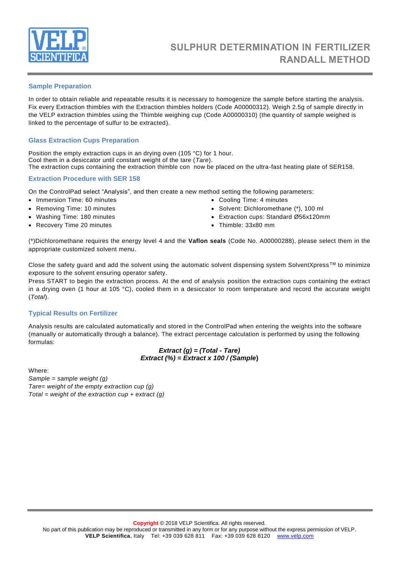

#### **Sample Preparation**

In order to obtain reliable and repeatable results it is necessary to homogenize the sample before starting the analysis. Fix every Extraction thimbles with the Extraction thimbles holders (Code A00000312). Weigh 2.5g of sample directly in the VELP extraction thimbles using the Thimble weighing cup (Code A00000310) (the quantity of sample weighed is linked to the percentage of sulfur to be extracted).

# **Glass Extraction Cups Preparation**

Position the empty extraction cups in an drying oven (105 °C) for 1 hour. Cool them in a desiccator until constant weight of the tare (*Tare*). The extraction cups containing the extraction thimble con now be placed on the ultra-fast heating plate of SER158.

#### **Extraction Procedure with SER 158**

On the ControlPad select "Analysis", and then create a new method setting the following parameters:

- Immersion Time: 60 minutes
- Removing Time: 10 minutes
- Washing Time: 180 minutes
- Recovery Time 20 minutes
- Cooling Time: 4 minutes
- Solvent: Dichloromethane (\*), 100 ml
- Extraction cups: Standard Ø56x120mm
- Thimble: 33x80 mm

(\*)Dichloromethane requires the energy level 4 and the **Vaflon seals** (Code No. A00000288), please select them in the appropriate customized solvent menu.

Close the safety guard and add the solvent using the automatic solvent dispensing system SolventXpress TM to minimize exposure to the solvent ensuring operator safety.

Press START to begin the extraction process. At the end of analysis position the extraction cups containing the extract in a drying oven (1 hour at 105 °C), cooled them in a desiccator to room temperature and record the accurate weight (*Total*).

# **Typical Results on Fertilizer**

Analysis results are calculated automatically and stored in the ControlPad when entering the weights into the software (manually or automatically through a balance). The extract percentage calculation is performed by using the following formulas:

# *Extract (g) = (Total - Tare) Extract (%) = Extract x 100 / (Sample***)**

Where:

*Sample = sample weight (g) Tare= weight of the empty extraction cup (g) Total = weight of the extraction cup + extract (g)*